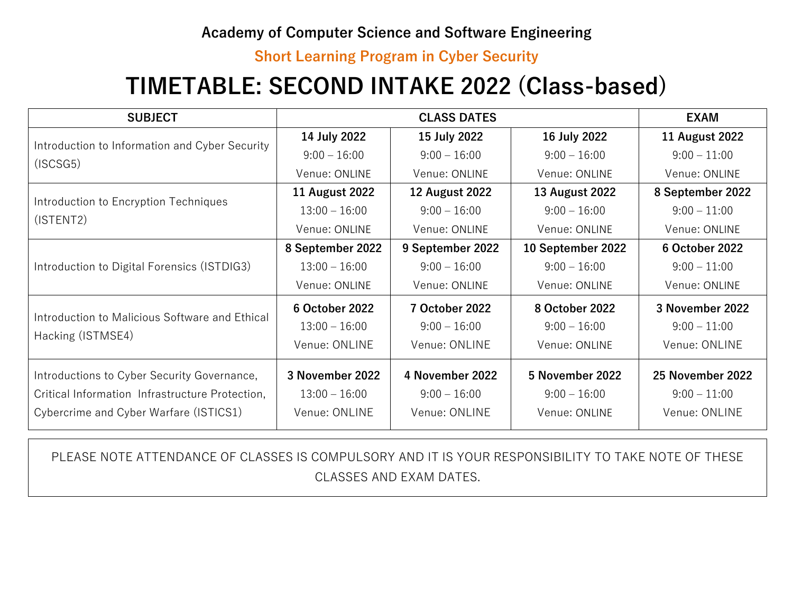### **Academy of Computer Science and Software Engineering**

#### **Short Learning Program in Cyber Security**

# **TIMETABLE: SECOND INTAKE 2022 (Class-based)**

| <b>SUBJECT</b>                                                      | <b>CLASS DATES</b>    |                       |                       | <b>EXAM</b>           |
|---------------------------------------------------------------------|-----------------------|-----------------------|-----------------------|-----------------------|
| Introduction to Information and Cyber Security<br>(ISCSG5)          | 14 July 2022          | 15 July 2022          | 16 July 2022          | <b>11 August 2022</b> |
|                                                                     | $9:00 - 16:00$        | $9:00 - 16:00$        | $9:00 - 16:00$        | $9:00 - 11:00$        |
|                                                                     | Venue: ONLINE         | Venue: ONLINE         | Venue: ONLINE         | Venue: ONLINE         |
| Introduction to Encryption Techniques<br>(ISTENT2)                  | <b>11 August 2022</b> | <b>12 August 2022</b> | <b>13 August 2022</b> | 8 September 2022      |
|                                                                     | $13:00 - 16:00$       | $9:00 - 16:00$        | $9:00 - 16:00$        | $9:00 - 11:00$        |
|                                                                     | Venue: ONLINE         | Venue: ONLINE         | Venue: ONLINE         | Venue: ONLINE         |
| Introduction to Digital Forensics (ISTDIG3)                         | 8 September 2022      | 9 September 2022      | 10 September 2022     | <b>6 October 2022</b> |
|                                                                     | $13:00 - 16:00$       | $9:00 - 16:00$        | $9:00 - 16:00$        | $9:00 - 11:00$        |
|                                                                     | Venue: ONLINE         | Venue: ONLINE         | Venue: ONLINE         | Venue: ONLINE         |
| Introduction to Malicious Software and Ethical<br>Hacking (ISTMSE4) | 6 October 2022        | <b>7 October 2022</b> | 8 October 2022        | 3 November 2022       |
|                                                                     | $13:00 - 16:00$       | $9:00 - 16:00$        | $9:00 - 16:00$        | $9:00 - 11:00$        |
|                                                                     | Venue: ONLINE         | Venue: ONLINE         | Venue: ONLINE         | Venue: ONLINE         |
| Introductions to Cyber Security Governance,                         | 3 November 2022       | 4 November 2022       | 5 November 2022       | 25 November 2022      |
| Critical Information Infrastructure Protection,                     | $13:00 - 16:00$       | $9:00 - 16:00$        | $9:00 - 16:00$        | $9:00 - 11:00$        |
| Cybercrime and Cyber Warfare (ISTICS1)                              | Venue: ONLINE         | Venue: ONLINE         | Venue: ONLINE         | Venue: ONLINE         |

PLEASE NOTE ATTENDANCE OF CLASSES IS COMPULSORY AND IT IS YOUR RESPONSIBILITY TO TAKE NOTE OF THESE CLASSES AND EXAM DATES.